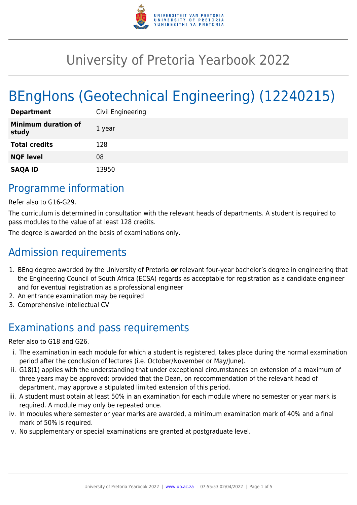

# University of Pretoria Yearbook 2022

# BEngHons (Geotechnical Engineering) (12240215)

| <b>Department</b>                   | Civil Engineering |
|-------------------------------------|-------------------|
| <b>Minimum duration of</b><br>study | 1 year            |
| <b>Total credits</b>                | 128               |
| <b>NQF level</b>                    | 08                |
| <b>SAQA ID</b>                      | 13950             |

## Programme information

Refer also to G16-G29.

The curriculum is determined in consultation with the relevant heads of departments. A student is required to pass modules to the value of at least 128 credits.

The degree is awarded on the basis of examinations only.

# Admission requirements

- 1. BEng degree awarded by the University of Pretoria **or** relevant four-year bachelor's degree in engineering that the Engineering Council of South Africa (ECSA) regards as acceptable for registration as a candidate engineer and for eventual registration as a professional engineer
- 2. An entrance examination may be required
- 3. Comprehensive intellectual CV

# Examinations and pass requirements

Refer also to G18 and G26.

- i. The examination in each module for which a student is registered, takes place during the normal examination period after the conclusion of lectures (i.e. October/November or May/June).
- ii. G18(1) applies with the understanding that under exceptional circumstances an extension of a maximum of three years may be approved: provided that the Dean, on reccommendation of the relevant head of department, may approve a stipulated limited extension of this period.
- iii. A student must obtain at least 50% in an examination for each module where no semester or year mark is required. A module may only be repeated once.
- iv. In modules where semester or year marks are awarded, a minimum examination mark of 40% and a final mark of 50% is required.
- v. No supplementary or special examinations are granted at postgraduate level.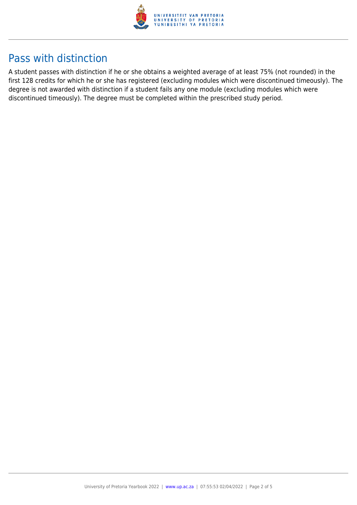

## Pass with distinction

A student passes with distinction if he or she obtains a weighted average of at least 75% (not rounded) in the first 128 credits for which he or she has registered (excluding modules which were discontinued timeously). The degree is not awarded with distinction if a student fails any one module (excluding modules which were discontinued timeously). The degree must be completed within the prescribed study period.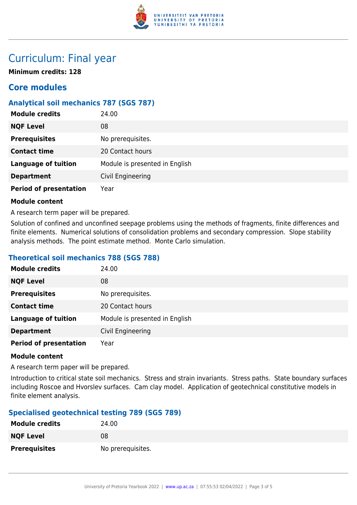

### Curriculum: Final year

**Minimum credits: 128**

### **Core modules**

### **Analytical soil mechanics 787 (SGS 787)**

| <b>Module credits</b>         | 24.00                          |
|-------------------------------|--------------------------------|
| <b>NQF Level</b>              | 08                             |
| <b>Prerequisites</b>          | No prerequisites.              |
| <b>Contact time</b>           | 20 Contact hours               |
| <b>Language of tuition</b>    | Module is presented in English |
| <b>Department</b>             | Civil Engineering              |
| <b>Period of presentation</b> | Year                           |

#### **Module content**

A research term paper will be prepared.

Solution of confined and unconfined seepage problems using the methods of fragments, finite differences and finite elements. Numerical solutions of consolidation problems and secondary compression. Slope stability analysis methods. The point estimate method. Monte Carlo simulation.

#### **Theoretical soil mechanics 788 (SGS 788)**

| <b>Module credits</b>         | 24.00                          |
|-------------------------------|--------------------------------|
| <b>NQF Level</b>              | 08                             |
| <b>Prerequisites</b>          | No prerequisites.              |
| <b>Contact time</b>           | 20 Contact hours               |
| <b>Language of tuition</b>    | Module is presented in English |
| <b>Department</b>             | Civil Engineering              |
| <b>Period of presentation</b> | Year                           |

#### **Module content**

A research term paper will be prepared.

Introduction to critical state soil mechanics. Stress and strain invariants. Stress paths. State boundary surfaces including Roscoe and Hvorslev surfaces. Cam clay model. Application of geotechnical constitutive models in finite element analysis.

#### **Specialised geotechnical testing 789 (SGS 789)**

| <b>Module credits</b> | 24.00             |
|-----------------------|-------------------|
| <b>NQF Level</b>      | 08                |
| <b>Prerequisites</b>  | No prerequisites. |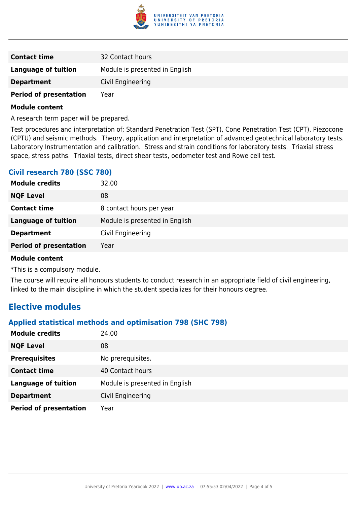

| <b>Contact time</b>           | 32 Contact hours               |
|-------------------------------|--------------------------------|
| <b>Language of tuition</b>    | Module is presented in English |
| <b>Department</b>             | Civil Engineering              |
| <b>Period of presentation</b> | Year                           |

#### **Module content**

A research term paper will be prepared.

Test procedures and interpretation of; Standard Penetration Test (SPT), Cone Penetration Test (CPT), Piezocone (CPTU) and seismic methods. Theory, application and interpretation of advanced geotechnical laboratory tests. Laboratory Instrumentation and calibration. Stress and strain conditions for laboratory tests. Triaxial stress space, stress paths. Triaxial tests, direct shear tests, oedometer test and Rowe cell test.

#### **Civil research 780 (SSC 780)**

| <b>Module credits</b>         | 32.00                          |
|-------------------------------|--------------------------------|
| <b>NQF Level</b>              | 08                             |
| <b>Contact time</b>           | 8 contact hours per year       |
| <b>Language of tuition</b>    | Module is presented in English |
| <b>Department</b>             | Civil Engineering              |
| <b>Period of presentation</b> | Year                           |
|                               |                                |

#### **Module content**

\*This is a compulsory module.

The course will require all honours students to conduct research in an appropriate field of civil engineering, linked to the main discipline in which the student specializes for their honours degree.

### **Elective modules**

#### **Applied statistical methods and optimisation 798 (SHC 798)**

| <b>Module credits</b>         | 24.00                          |
|-------------------------------|--------------------------------|
| <b>NQF Level</b>              | 08                             |
| <b>Prerequisites</b>          | No prerequisites.              |
| <b>Contact time</b>           | 40 Contact hours               |
| <b>Language of tuition</b>    | Module is presented in English |
| <b>Department</b>             | Civil Engineering              |
| <b>Period of presentation</b> | Year                           |